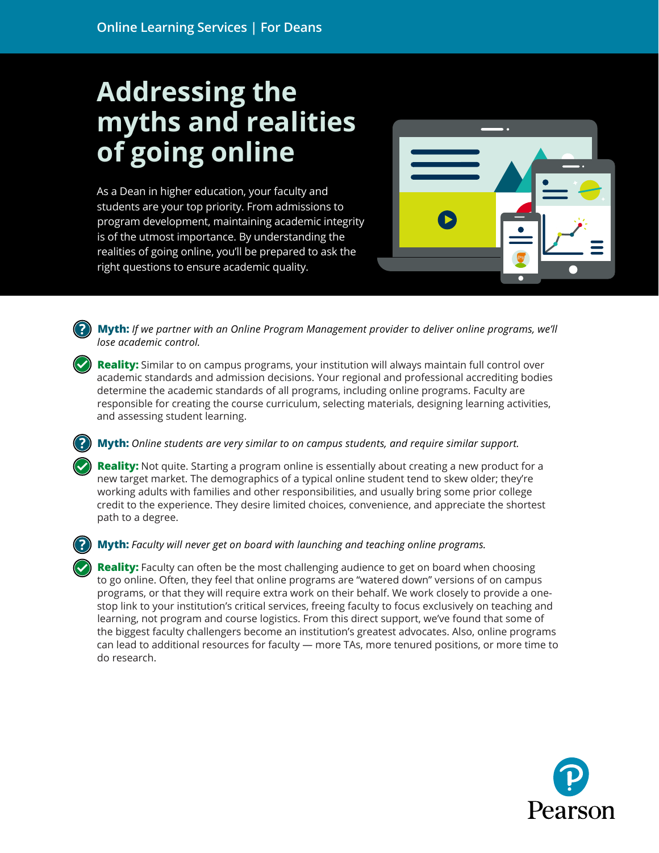## **Addressing the myths and realities of going online**

As a Dean in higher education, your faculty and students are your top priority. From admissions to program development, maintaining academic integrity is of the utmost importance. By understanding the realities of going online, you'll be prepared to ask the right questions to ensure academic quality.



.**Myth:** *If we partner with an Online Program Management provider to deliver online programs, we'll lose academic control.* 

**Reality:** Similar to on campus programs, your institution will always maintain full control over academic standards and admission decisions. Your regional and professional accrediting bodies determine the academic standards of all programs, including online programs. Faculty are responsible for creating the course curriculum, selecting materials, designing learning activities, and assessing student learning.

## **Myth:** *Online students are very similar to on campus students, and require similar support.*

**Reality:** Not quite. Starting a program online is essentially about creating a new product for a new target market. The demographics of a typical online student tend to skew older; they're working adults with families and other responsibilities, and usually bring some prior college credit to the experience. They desire limited choices, convenience, and appreciate the shortest path to a degree.

**Myth:** *Faculty will never get on board with launching and teaching online programs.*

**Reality:** Faculty can often be the most challenging audience to get on board when choosing to go online. Often, they feel that online programs are "watered down" versions of on campus programs, or that they will require extra work on their behalf. We work closely to provide a onestop link to your institution's critical services, freeing faculty to focus exclusively on teaching and learning, not program and course logistics. From this direct support, we've found that some of the biggest faculty challengers become an institution's greatest advocates. Also, online programs can lead to additional resources for faculty — more TAs, more tenured positions, or more time to do research.